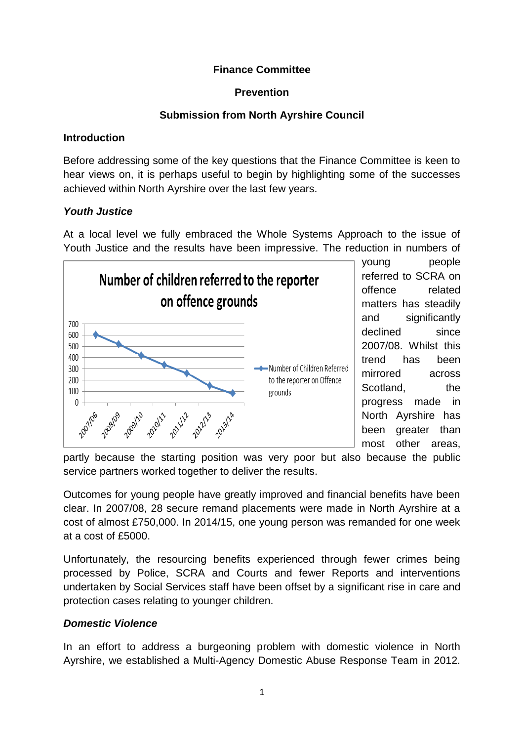## **Finance Committee**

## **Prevention**

## **Submission from North Ayrshire Council**

## **Introduction**

Before addressing some of the key questions that the Finance Committee is keen to hear views on, it is perhaps useful to begin by highlighting some of the successes achieved within North Ayrshire over the last few years.

# *Youth Justice*

At a local level we fully embraced the Whole Systems Approach to the issue of Youth Justice and the results have been impressive. The reduction in numbers of



young people referred to SCRA on offence related matters has steadily and significantly declined since 2007/08. Whilst this trend has been mirrored across Scotland. the progress made in North Ayrshire has been greater than most other areas,

partly because the starting position was very poor but also because the public service partners worked together to deliver the results.

Outcomes for young people have greatly improved and financial benefits have been clear. In 2007/08, 28 secure remand placements were made in North Ayrshire at a cost of almost £750,000. In 2014/15, one young person was remanded for one week at a cost of £5000.

Unfortunately, the resourcing benefits experienced through fewer crimes being processed by Police, SCRA and Courts and fewer Reports and interventions undertaken by Social Services staff have been offset by a significant rise in care and protection cases relating to younger children.

# *Domestic Violence*

In an effort to address a burgeoning problem with domestic violence in North Ayrshire, we established a Multi-Agency Domestic Abuse Response Team in 2012.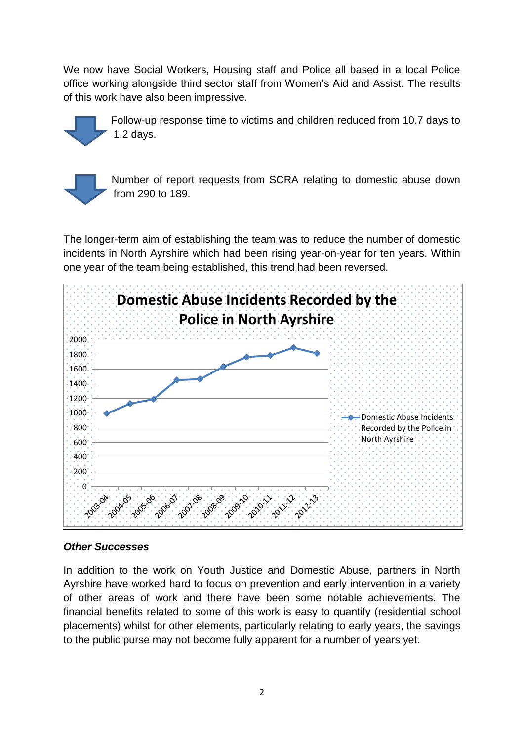We now have Social Workers, Housing staff and Police all based in a local Police office working alongside third sector staff from Women's Aid and Assist. The results of this work have also been impressive.



Follow-up response time to victims and children reduced from 10.7 days to 1.2 days.



Number of report requests from SCRA relating to domestic abuse down from 290 to 189.

The longer-term aim of establishing the team was to reduce the number of domestic incidents in North Ayrshire which had been rising year-on-year for ten years. Within one year of the team being established, this trend had been reversed.



## *Other Successes*

In addition to the work on Youth Justice and Domestic Abuse, partners in North Ayrshire have worked hard to focus on prevention and early intervention in a variety of other areas of work and there have been some notable achievements. The financial benefits related to some of this work is easy to quantify (residential school placements) whilst for other elements, particularly relating to early years, the savings to the public purse may not become fully apparent for a number of years yet.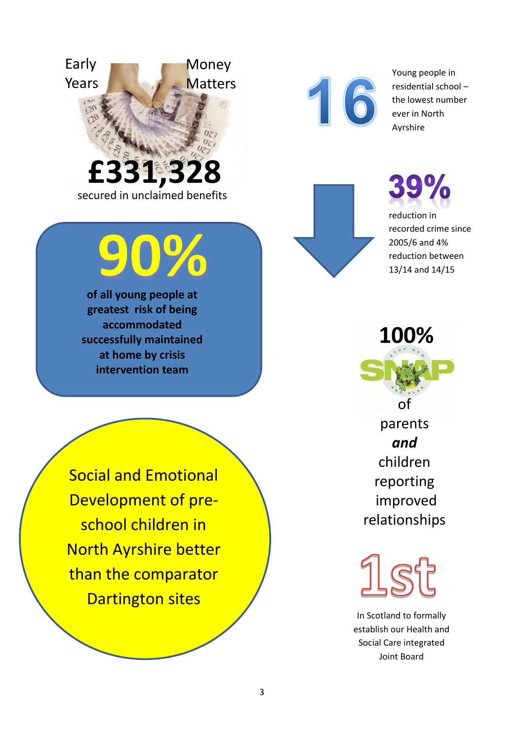



Young people in residential school – the lowest number ever in North Ayrshire

**39%** reduction in recorded crime since 2005/6 and 4% reduction between 13/14 and 14/15

**100%**  of parents *and* 

children reporting improved relationships

In Scotland to formally establish our Health and Social Care integrated Joint Board

Social and Emotional Development of preschool children in North Ayrshire better than the comparator Dartington sites

**of all young people at greatest risk of being accommodated successfully maintained at home by crisis intervention team**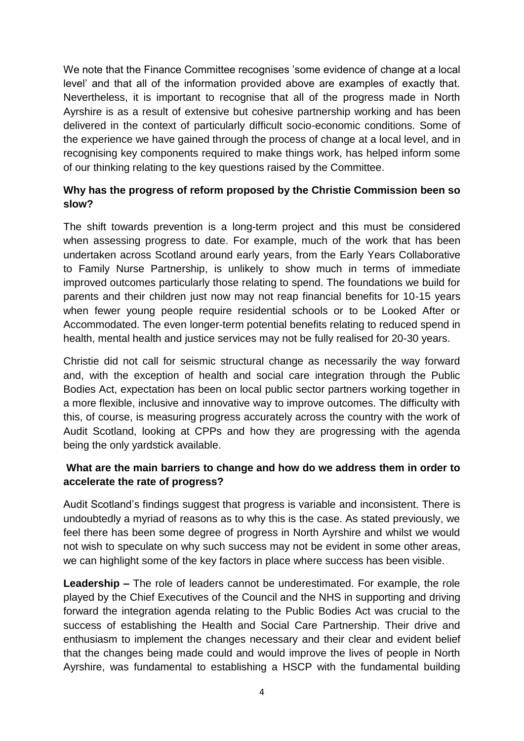We note that the Finance Committee recognises 'some evidence of change at a local level' and that all of the information provided above are examples of exactly that. Nevertheless, it is important to recognise that all of the progress made in North Ayrshire is as a result of extensive but cohesive partnership working and has been delivered in the context of particularly difficult socio-economic conditions. Some of the experience we have gained through the process of change at a local level, and in recognising key components required to make things work, has helped inform some of our thinking relating to the key questions raised by the Committee.

## **Why has the progress of reform proposed by the Christie Commission been so slow?**

The shift towards prevention is a long-term project and this must be considered when assessing progress to date. For example, much of the work that has been undertaken across Scotland around early years, from the Early Years Collaborative to Family Nurse Partnership, is unlikely to show much in terms of immediate improved outcomes particularly those relating to spend. The foundations we build for parents and their children just now may not reap financial benefits for 10-15 years when fewer young people require residential schools or to be Looked After or Accommodated. The even longer-term potential benefits relating to reduced spend in health, mental health and justice services may not be fully realised for 20-30 years.

Christie did not call for seismic structural change as necessarily the way forward and, with the exception of health and social care integration through the Public Bodies Act, expectation has been on local public sector partners working together in a more flexible, inclusive and innovative way to improve outcomes. The difficulty with this, of course, is measuring progress accurately across the country with the work of Audit Scotland, looking at CPPs and how they are progressing with the agenda being the only yardstick available.

## **What are the main barriers to change and how do we address them in order to accelerate the rate of progress?**

Audit Scotland's findings suggest that progress is variable and inconsistent. There is undoubtedly a myriad of reasons as to why this is the case. As stated previously, we feel there has been some degree of progress in North Ayrshire and whilst we would not wish to speculate on why such success may not be evident in some other areas, we can highlight some of the key factors in place where success has been visible.

**Leadership –** The role of leaders cannot be underestimated. For example, the role played by the Chief Executives of the Council and the NHS in supporting and driving forward the integration agenda relating to the Public Bodies Act was crucial to the success of establishing the Health and Social Care Partnership. Their drive and enthusiasm to implement the changes necessary and their clear and evident belief that the changes being made could and would improve the lives of people in North Ayrshire, was fundamental to establishing a HSCP with the fundamental building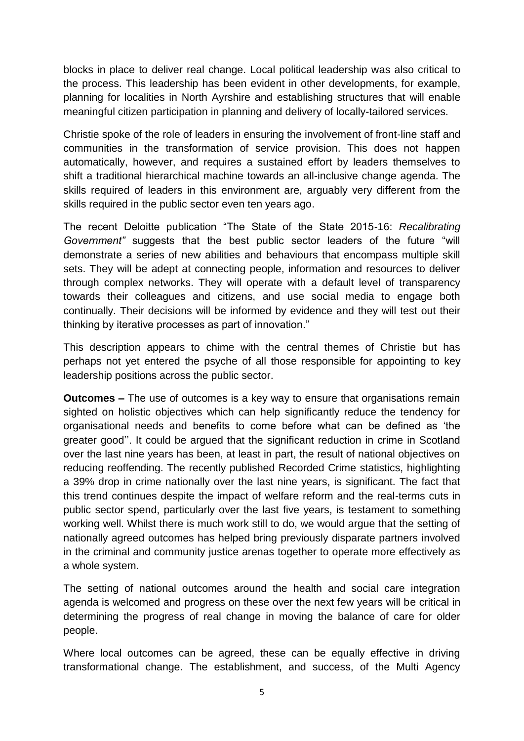blocks in place to deliver real change. Local political leadership was also critical to the process. This leadership has been evident in other developments, for example, planning for localities in North Ayrshire and establishing structures that will enable meaningful citizen participation in planning and delivery of locally-tailored services.

Christie spoke of the role of leaders in ensuring the involvement of front-line staff and communities in the transformation of service provision. This does not happen automatically, however, and requires a sustained effort by leaders themselves to shift a traditional hierarchical machine towards an all-inclusive change agenda. The skills required of leaders in this environment are, arguably very different from the skills required in the public sector even ten years ago.

The recent Deloitte publication "The State of the State 2015-16: *Recalibrating Government"* suggests that the best public sector leaders of the future "will demonstrate a series of new abilities and behaviours that encompass multiple skill sets. They will be adept at connecting people, information and resources to deliver through complex networks. They will operate with a default level of transparency towards their colleagues and citizens, and use social media to engage both continually. Their decisions will be informed by evidence and they will test out their thinking by iterative processes as part of innovation."

This description appears to chime with the central themes of Christie but has perhaps not yet entered the psyche of all those responsible for appointing to key leadership positions across the public sector.

**Outcomes –** The use of outcomes is a key way to ensure that organisations remain sighted on holistic objectives which can help significantly reduce the tendency for organisational needs and benefits to come before what can be defined as 'the greater good''. It could be argued that the significant reduction in crime in Scotland over the last nine years has been, at least in part, the result of national objectives on reducing reoffending. The recently published Recorded Crime statistics, highlighting a 39% drop in crime nationally over the last nine years, is significant. The fact that this trend continues despite the impact of welfare reform and the real-terms cuts in public sector spend, particularly over the last five years, is testament to something working well. Whilst there is much work still to do, we would argue that the setting of nationally agreed outcomes has helped bring previously disparate partners involved in the criminal and community justice arenas together to operate more effectively as a whole system.

The setting of national outcomes around the health and social care integration agenda is welcomed and progress on these over the next few years will be critical in determining the progress of real change in moving the balance of care for older people.

Where local outcomes can be agreed, these can be equally effective in driving transformational change. The establishment, and success, of the Multi Agency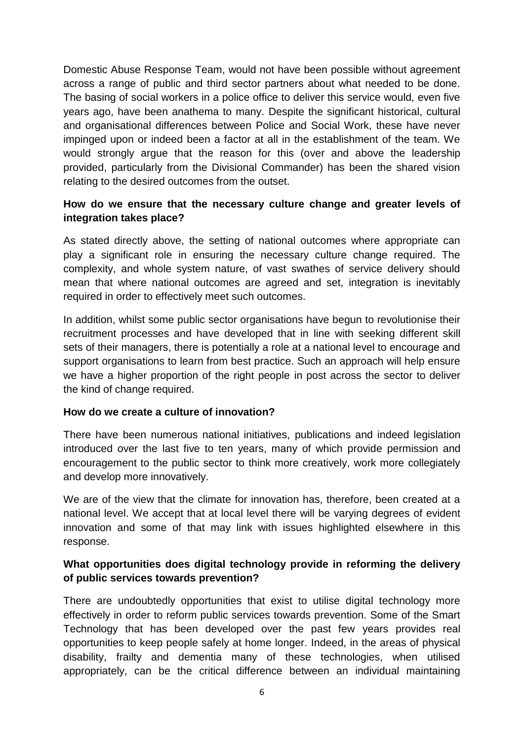Domestic Abuse Response Team, would not have been possible without agreement across a range of public and third sector partners about what needed to be done. The basing of social workers in a police office to deliver this service would, even five years ago, have been anathema to many. Despite the significant historical, cultural and organisational differences between Police and Social Work, these have never impinged upon or indeed been a factor at all in the establishment of the team. We would strongly argue that the reason for this (over and above the leadership provided, particularly from the Divisional Commander) has been the shared vision relating to the desired outcomes from the outset.

## **How do we ensure that the necessary culture change and greater levels of integration takes place?**

As stated directly above, the setting of national outcomes where appropriate can play a significant role in ensuring the necessary culture change required. The complexity, and whole system nature, of vast swathes of service delivery should mean that where national outcomes are agreed and set, integration is inevitably required in order to effectively meet such outcomes.

In addition, whilst some public sector organisations have begun to revolutionise their recruitment processes and have developed that in line with seeking different skill sets of their managers, there is potentially a role at a national level to encourage and support organisations to learn from best practice. Such an approach will help ensure we have a higher proportion of the right people in post across the sector to deliver the kind of change required.

#### **How do we create a culture of innovation?**

There have been numerous national initiatives, publications and indeed legislation introduced over the last five to ten years, many of which provide permission and encouragement to the public sector to think more creatively, work more collegiately and develop more innovatively.

We are of the view that the climate for innovation has, therefore, been created at a national level. We accept that at local level there will be varying degrees of evident innovation and some of that may link with issues highlighted elsewhere in this response.

## **What opportunities does digital technology provide in reforming the delivery of public services towards prevention?**

There are undoubtedly opportunities that exist to utilise digital technology more effectively in order to reform public services towards prevention. Some of the Smart Technology that has been developed over the past few years provides real opportunities to keep people safely at home longer. Indeed, in the areas of physical disability, frailty and dementia many of these technologies, when utilised appropriately, can be the critical difference between an individual maintaining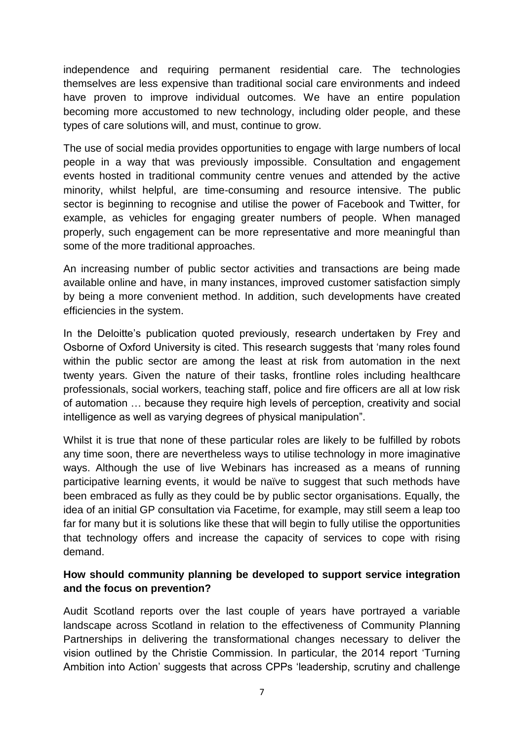independence and requiring permanent residential care. The technologies themselves are less expensive than traditional social care environments and indeed have proven to improve individual outcomes. We have an entire population becoming more accustomed to new technology, including older people, and these types of care solutions will, and must, continue to grow.

The use of social media provides opportunities to engage with large numbers of local people in a way that was previously impossible. Consultation and engagement events hosted in traditional community centre venues and attended by the active minority, whilst helpful, are time-consuming and resource intensive. The public sector is beginning to recognise and utilise the power of Facebook and Twitter, for example, as vehicles for engaging greater numbers of people. When managed properly, such engagement can be more representative and more meaningful than some of the more traditional approaches.

An increasing number of public sector activities and transactions are being made available online and have, in many instances, improved customer satisfaction simply by being a more convenient method. In addition, such developments have created efficiencies in the system.

In the Deloitte's publication quoted previously, research undertaken by Frey and Osborne of Oxford University is cited. This research suggests that 'many roles found within the public sector are among the least at risk from automation in the next twenty years. Given the nature of their tasks, frontline roles including healthcare professionals, social workers, teaching staff, police and fire officers are all at low risk of automation … because they require high levels of perception, creativity and social intelligence as well as varying degrees of physical manipulation".

Whilst it is true that none of these particular roles are likely to be fulfilled by robots any time soon, there are nevertheless ways to utilise technology in more imaginative ways. Although the use of live Webinars has increased as a means of running participative learning events, it would be naïve to suggest that such methods have been embraced as fully as they could be by public sector organisations. Equally, the idea of an initial GP consultation via Facetime, for example, may still seem a leap too far for many but it is solutions like these that will begin to fully utilise the opportunities that technology offers and increase the capacity of services to cope with rising demand.

## **How should community planning be developed to support service integration and the focus on prevention?**

Audit Scotland reports over the last couple of years have portrayed a variable landscape across Scotland in relation to the effectiveness of Community Planning Partnerships in delivering the transformational changes necessary to deliver the vision outlined by the Christie Commission. In particular, the 2014 report 'Turning Ambition into Action' suggests that across CPPs 'leadership, scrutiny and challenge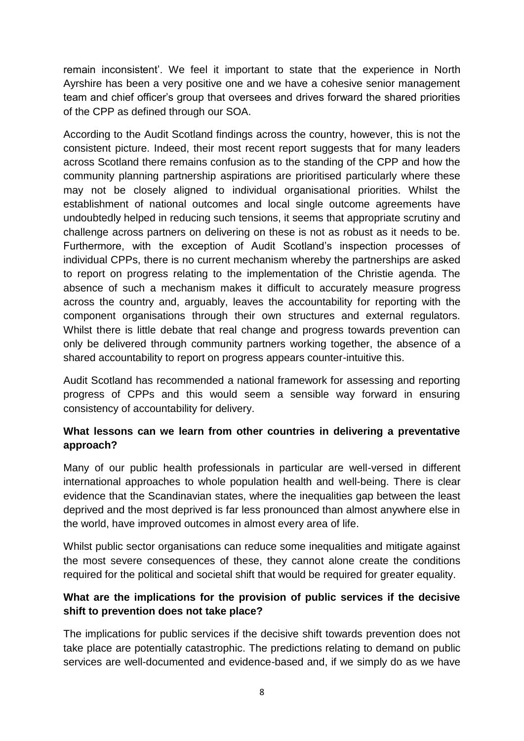remain inconsistent'. We feel it important to state that the experience in North Ayrshire has been a very positive one and we have a cohesive senior management team and chief officer's group that oversees and drives forward the shared priorities of the CPP as defined through our SOA.

According to the Audit Scotland findings across the country, however, this is not the consistent picture. Indeed, their most recent report suggests that for many leaders across Scotland there remains confusion as to the standing of the CPP and how the community planning partnership aspirations are prioritised particularly where these may not be closely aligned to individual organisational priorities. Whilst the establishment of national outcomes and local single outcome agreements have undoubtedly helped in reducing such tensions, it seems that appropriate scrutiny and challenge across partners on delivering on these is not as robust as it needs to be. Furthermore, with the exception of Audit Scotland's inspection processes of individual CPPs, there is no current mechanism whereby the partnerships are asked to report on progress relating to the implementation of the Christie agenda. The absence of such a mechanism makes it difficult to accurately measure progress across the country and, arguably, leaves the accountability for reporting with the component organisations through their own structures and external regulators. Whilst there is little debate that real change and progress towards prevention can only be delivered through community partners working together, the absence of a shared accountability to report on progress appears counter-intuitive this.

Audit Scotland has recommended a national framework for assessing and reporting progress of CPPs and this would seem a sensible way forward in ensuring consistency of accountability for delivery.

## **What lessons can we learn from other countries in delivering a preventative approach?**

Many of our public health professionals in particular are well-versed in different international approaches to whole population health and well-being. There is clear evidence that the Scandinavian states, where the inequalities gap between the least deprived and the most deprived is far less pronounced than almost anywhere else in the world, have improved outcomes in almost every area of life.

Whilst public sector organisations can reduce some inequalities and mitigate against the most severe consequences of these, they cannot alone create the conditions required for the political and societal shift that would be required for greater equality.

## **What are the implications for the provision of public services if the decisive shift to prevention does not take place?**

The implications for public services if the decisive shift towards prevention does not take place are potentially catastrophic. The predictions relating to demand on public services are well-documented and evidence-based and, if we simply do as we have